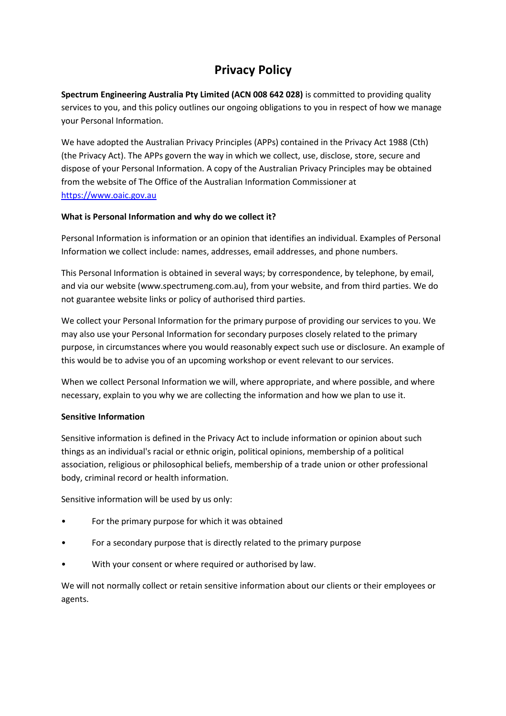# **Privacy Policy**

**Spectrum Engineering Australia Pty Limited (ACN 008 642 028)** is committed to providing quality services to you, and this policy outlines our ongoing obligations to you in respect of how we manage your Personal Information.

We have adopted the Australian Privacy Principles (APPs) contained in the Privacy Act 1988 (Cth) (the Privacy Act). The APPs govern the way in which we collect, use, disclose, store, secure and dispose of your Personal Information. A copy of the Australian Privacy Principles may be obtained from the website of The Office of the Australian Information Commissioner at https://www.oaic.gov.au

# **What is Personal Information and why do we collect it?**

Personal Information is information or an opinion that identifies an individual. Examples of Personal Information we collect include: names, addresses, email addresses, and phone numbers.

This Personal Information is obtained in several ways; by correspondence, by telephone, by email, and via our website (www.spectrumeng.com.au), from your website, and from third parties. We do not guarantee website links or policy of authorised third parties.

We collect your Personal Information for the primary purpose of providing our services to you. We may also use your Personal Information for secondary purposes closely related to the primary purpose, in circumstances where you would reasonably expect such use or disclosure. An example of this would be to advise you of an upcoming workshop or event relevant to our services.

When we collect Personal Information we will, where appropriate, and where possible, and where necessary, explain to you why we are collecting the information and how we plan to use it.

# **Sensitive Information**

Sensitive information is defined in the Privacy Act to include information or opinion about such things as an individual's racial or ethnic origin, political opinions, membership of a political association, religious or philosophical beliefs, membership of a trade union or other professional body, criminal record or health information.

Sensitive information will be used by us only:

- For the primary purpose for which it was obtained
- For a secondary purpose that is directly related to the primary purpose
- With your consent or where required or authorised by law.

We will not normally collect or retain sensitive information about our clients or their employees or agents.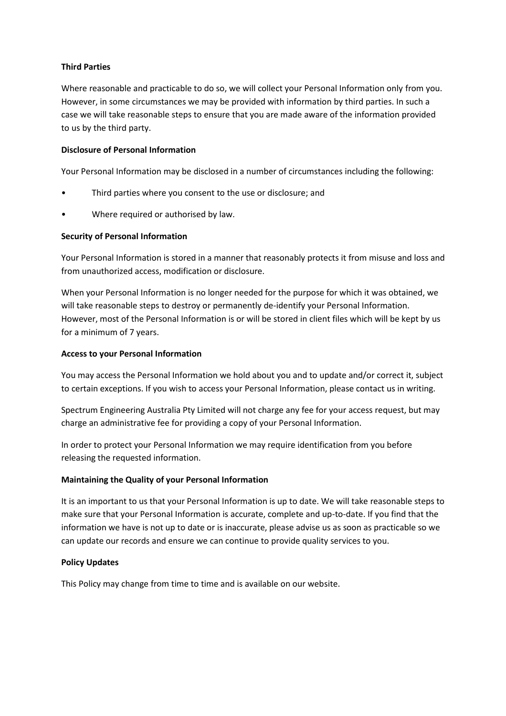#### **Third Parties**

Where reasonable and practicable to do so, we will collect your Personal Information only from you. However, in some circumstances we may be provided with information by third parties. In such a case we will take reasonable steps to ensure that you are made aware of the information provided to us by the third party.

#### **Disclosure of Personal Information**

Your Personal Information may be disclosed in a number of circumstances including the following:

- Third parties where you consent to the use or disclosure; and
- Where required or authorised by law.

#### **Security of Personal Information**

Your Personal Information is stored in a manner that reasonably protects it from misuse and loss and from unauthorized access, modification or disclosure.

When your Personal Information is no longer needed for the purpose for which it was obtained, we will take reasonable steps to destroy or permanently de-identify your Personal Information. However, most of the Personal Information is or will be stored in client files which will be kept by us for a minimum of 7 years.

#### **Access to your Personal Information**

You may access the Personal Information we hold about you and to update and/or correct it, subject to certain exceptions. If you wish to access your Personal Information, please contact us in writing.

Spectrum Engineering Australia Pty Limited will not charge any fee for your access request, but may charge an administrative fee for providing a copy of your Personal Information.

In order to protect your Personal Information we may require identification from you before releasing the requested information.

# **Maintaining the Quality of your Personal Information**

It is an important to us that your Personal Information is up to date. We will take reasonable steps to make sure that your Personal Information is accurate, complete and up-to-date. If you find that the information we have is not up to date or is inaccurate, please advise us as soon as practicable so we can update our records and ensure we can continue to provide quality services to you.

# **Policy Updates**

This Policy may change from time to time and is available on our website.